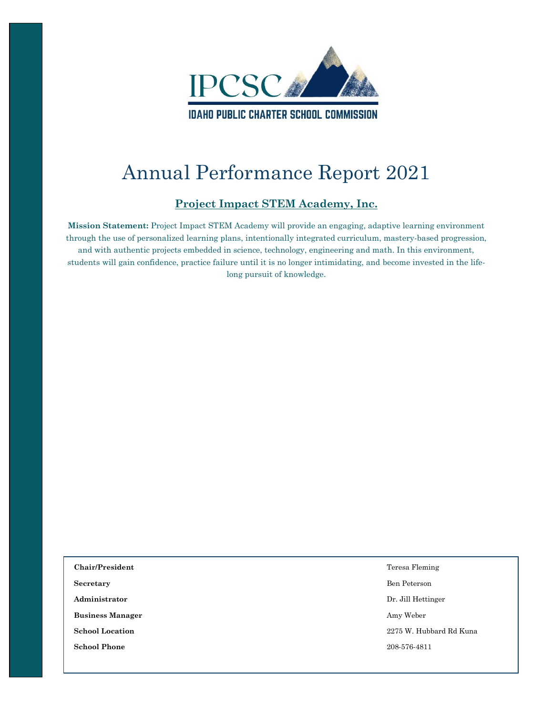

# Annual Performance Report 2021

#### **Project Impact STEM Academy, Inc.**

**Mission Statement:** Project Impact STEM Academy will provide an engaging, adaptive learning environment through the use of personalized learning plans, intentionally integrated curriculum, mastery-based progression, and with authentic projects embedded in science, technology, engineering and math. In this environment, students will gain confidence, practice failure until it is no longer intimidating, and become invested in the lifelong pursuit of knowledge.

| Chair/President         | Teresa Fleming          |
|-------------------------|-------------------------|
| Secretary               | Ben Peterson            |
| Administrator           | Dr. Jill Hettinger      |
| <b>Business Manager</b> | Amy Weber               |
| <b>School Location</b>  | 2275 W. Hubbard Rd Kuna |
| <b>School Phone</b>     | 208-576-4811            |
|                         |                         |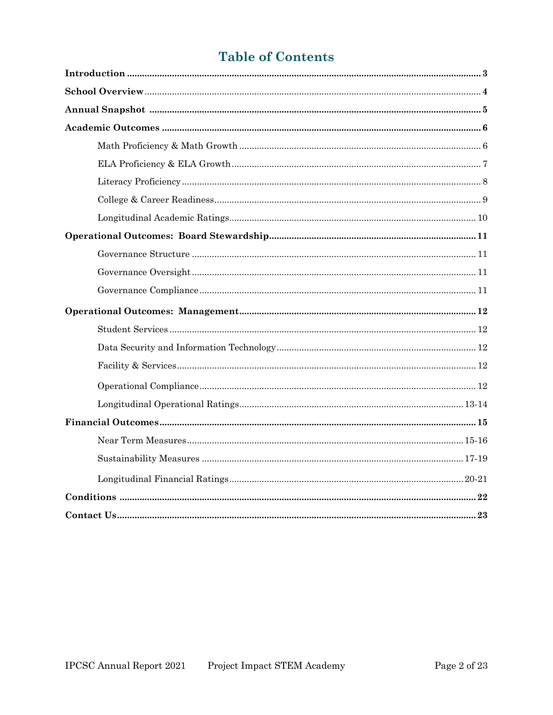# **Table of Contents**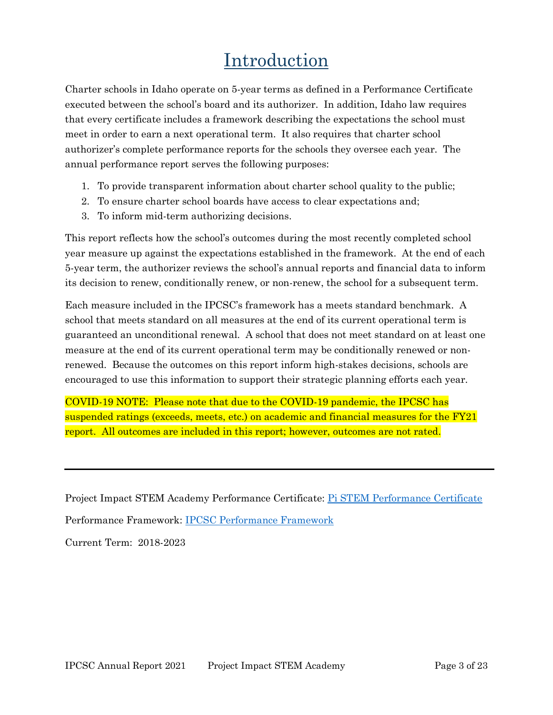# Introduction

Charter schools in Idaho operate on 5-year terms as defined in a Performance Certificate executed between the school's board and its authorizer. In addition, Idaho law requires that every certificate includes a framework describing the expectations the school must meet in order to earn a next operational term. It also requires that charter school authorizer's complete performance reports for the schools they oversee each year. The annual performance report serves the following purposes:

- 1. To provide transparent information about charter school quality to the public;
- 2. To ensure charter school boards have access to clear expectations and;
- 3. To inform mid-term authorizing decisions.

This report reflects how the school's outcomes during the most recently completed school year measure up against the expectations established in the framework. At the end of each 5-year term, the authorizer reviews the school's annual reports and financial data to inform its decision to renew, conditionally renew, or non-renew, the school for a subsequent term.

Each measure included in the IPCSC's framework has a meets standard benchmark. A school that meets standard on all measures at the end of its current operational term is guaranteed an unconditional renewal. A school that does not meet standard on at least one measure at the end of its current operational term may be conditionally renewed or nonrenewed. Because the outcomes on this report inform high-stakes decisions, schools are encouraged to use this information to support their strategic planning efforts each year.

COVID-19 NOTE: Please note that due to the COVID-19 pandemic, the IPCSC has suspended ratings (exceeds, meets, etc.) on academic and financial measures for the FY21 report. All outcomes are included in this report; however, outcomes are not rated.

Project Impact STEM Academy Performance Certificate: Pi STEM [Performance Certificate](https://chartercommission.idaho.gov/resources/project-impact-stem-academy-performance-certificate-2018-2023/) Performance Framework: [IPCSC Performance Framework](https://chartercommission.idaho.gov/resources/performance-framework/) Current Term: 2018-2023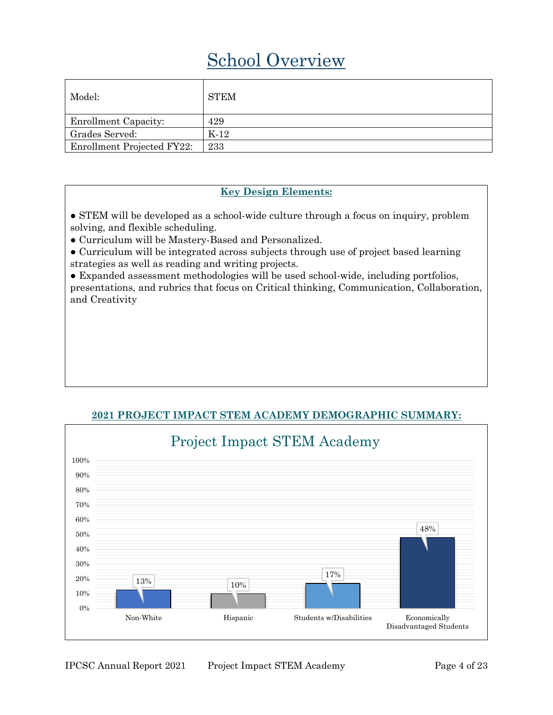# School Overview

| Model:                      | <b>STEM</b> |
|-----------------------------|-------------|
| <b>Enrollment Capacity:</b> | 429         |
| Grades Served:              | $K-12$      |
| Enrollment Projected FY22:  | 233         |

#### **Key Design Elements:**

● STEM will be developed as a school-wide culture through a focus on inquiry, problem solving, and flexible scheduling.

● Curriculum will be Mastery-Based and Personalized.

● Curriculum will be integrated across subjects through use of project based learning strategies as well as reading and writing projects.

● Expanded assessment methodologies will be used school-wide, including portfolios, presentations, and rubrics that focus on Critical thinking, Communication, Collaboration, and Creativity



#### **2021 PROJECT IMPACT STEM ACADEMY DEMOGRAPHIC SUMMARY:**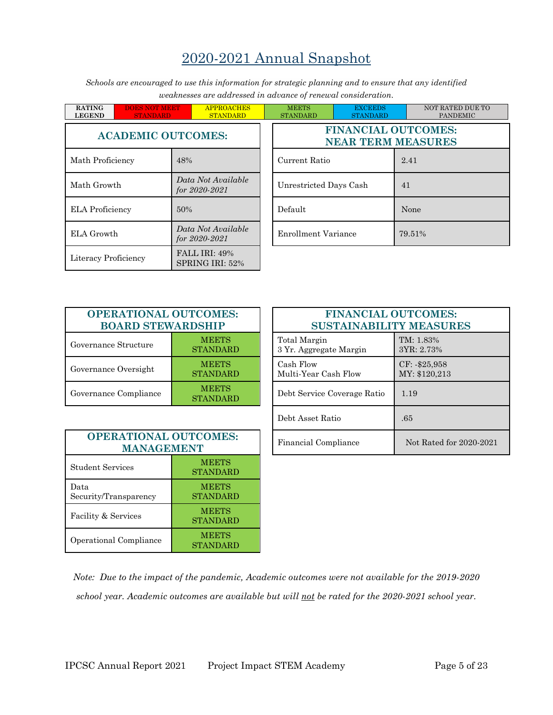## 2020-2021 Annual Snapshot

*Schools are encouraged to use this information for strategic planning and to ensure that any identified weaknesses are addressed in advance of renewal consideration.*

| <b>RATING</b><br><b>LEGEND</b> | <b>DOES NOT MEET</b><br><b>STANDARD</b> |                                         | <b>APPROACHES</b><br><b>STANDARD</b> |  | <b>MEETS</b><br><b>STANDARD</b> | <b>EXCEEDS</b><br><b>STANDARD</b>             |        |  |    |
|--------------------------------|-----------------------------------------|-----------------------------------------|--------------------------------------|--|---------------------------------|-----------------------------------------------|--------|--|----|
| <b>ACADEMIC OUTCOMES:</b>      |                                         |                                         |                                      |  |                                 | <b>FINANCIAL OUTC</b><br><b>NEAR TERM MEA</b> |        |  |    |
| Math Proficiency               |                                         | 48%                                     |                                      |  | Current Ratio                   |                                               | 2.41   |  |    |
| Math Growth                    |                                         | Data Not Available<br>for 2020-2021     |                                      |  |                                 | Unrestricted Days Cash                        |        |  | 41 |
| <b>ELA Proficiency</b>         |                                         | 50%                                     |                                      |  | Default                         |                                               | None   |  |    |
| ELA Growth                     |                                         | Data Not Available<br>for $2020 - 2021$ |                                      |  | <b>Enrollment Variance</b>      |                                               | 79.519 |  |    |
| Literacy Proficiency           |                                         |                                         | FALL IRI: 49%<br>SPRING IRI: 52%     |  |                                 |                                               |        |  |    |

| Ŧ.<br><b>APPROACHES</b><br><b>STANDARD</b> | <b>MEETS</b><br><b>STANDARD</b> | <b>EXCEEDS</b><br><b>STANDARD</b>                       | NOT RATED DUE TO<br><b>PANDEMIC</b> |  |  |
|--------------------------------------------|---------------------------------|---------------------------------------------------------|-------------------------------------|--|--|
| <b>TCOMES:</b>                             |                                 | <b>FINANCIAL OUTCOMES:</b><br><b>NEAR TERM MEASURES</b> |                                     |  |  |
| 48%                                        | Current Ratio                   |                                                         | 2.41                                |  |  |
| Data Not Available<br>for 2020-2021        | Unrestricted Days Cash          |                                                         | 41                                  |  |  |
| 50%                                        | Default                         |                                                         | None                                |  |  |
| Data Not Available<br>for 2020-2021        | <b>Enrollment Variance</b>      |                                                         | 79.51%                              |  |  |

| <b>OPERATIONAL OUTCOMES:</b><br><b>BOARD STEWARDSHIP</b> |                                 |  |
|----------------------------------------------------------|---------------------------------|--|
| Governance Structure                                     | <b>MEETS</b><br><b>STANDARD</b> |  |
| Governance Oversight                                     | <b>MEETS</b><br><b>STANDARD</b> |  |
| Governance Compliance                                    | <b>MEETS</b><br><b>STANDARD</b> |  |

| <b>ATIONAL OUTCOMES:</b><br><b>RD STEWARDSHIP</b> |                                 | <b>FINANCIAL OUTCOMES:</b><br><b>SUSTAINABILITY MEASURES</b> |                                  |
|---------------------------------------------------|---------------------------------|--------------------------------------------------------------|----------------------------------|
| tructure                                          | <b>MEETS</b><br><b>STANDARD</b> | Total Margin<br>3 Yr. Aggregate Margin                       | TM: 1.83%<br>3YR: 2.73%          |
| versight                                          | <b>MEETS</b><br><b>STANDARD</b> | Cash Flow<br>Multi-Year Cash Flow                            | $CF: -\$25,958$<br>MY: \$120,213 |
| ompliance                                         | <b>MEETS</b><br><b>STANDARD</b> | Debt Service Coverage Ratio                                  | 1.19                             |
|                                                   |                                 | Debt Asset Ratio                                             | .65                              |
| <b>ATIONAL OUTCOMES:</b><br><b>MANAGEMENT</b>     |                                 | Financial Compliance                                         | Not Rated for 2020-2021          |

| <b>OPERATIONAL OUTCOMES:</b><br><b>MANAGEMENT</b> |                                 |  |
|---------------------------------------------------|---------------------------------|--|
| <b>Student Services</b>                           | <b>MEETS</b><br><b>STANDARD</b> |  |
| Data<br>Security/Transparency                     | <b>MEETS</b><br><b>STANDARD</b> |  |
| Facility & Services                               | <b>MEETS</b><br><b>STANDARD</b> |  |
| Operational Compliance                            | <b>MEETS</b><br>STANDARD        |  |

*Note: Due to the impact of the pandemic, Academic outcomes were not available for the 2019-2020 school year. Academic outcomes are available but will not be rated for the 2020-2021 school year.*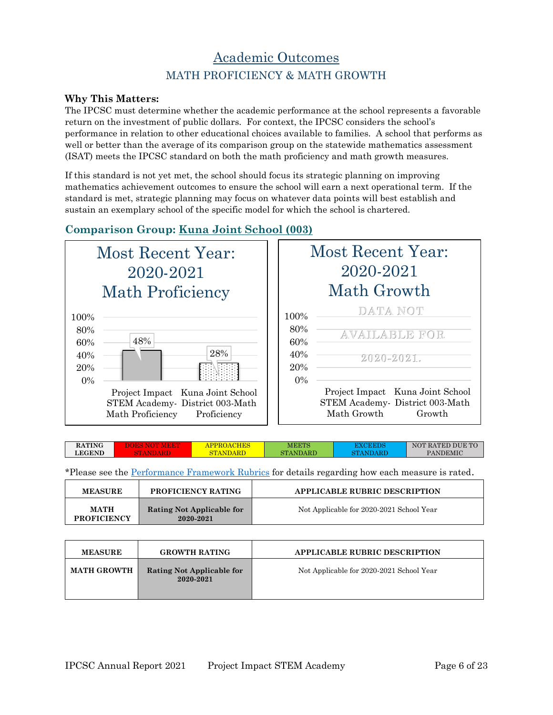### Academic Outcomes MATH PROFICIENCY & MATH GROWTH

#### **Why This Matters:**

The IPCSC must determine whether the academic performance at the school represents a favorable return on the investment of public dollars. For context, the IPCSC considers the school's performance in relation to other educational choices available to families. A school that performs as well or better than the average of its comparison group on the statewide mathematics assessment (ISAT) meets the IPCSC standard on both the math proficiency and math growth measures.

If this standard is not yet met, the school should focus its strategic planning on improving mathematics achievement outcomes to ensure the school will earn a next operational term. If the standard is met, strategic planning may focus on whatever data points will best establish and sustain an exemplary school of the specific model for which the school is chartered.

#### **Comparison Group: Kuna Joint School (003)**



|                           | Most Recent Year:<br>2020-2021<br>Math Growth                                               |
|---------------------------|---------------------------------------------------------------------------------------------|
| 100%<br>80%<br>60%<br>40% | DATA NOT<br><b>AVAILABLE FOR</b><br>2020-2021.                                              |
| 20%<br>$0\%$              | Project Impact Kuna Joint School<br>STEM Academy-District 003-Math<br>Math Growth<br>Growth |

| <b>RATING</b> | . . | IES<br>ⅎℙ | ${\rm MEETS}$     | .   | ' RATED DUE TO<br>$\triangle M$ |
|---------------|-----|-----------|-------------------|-----|---------------------------------|
| <b>LEGEND</b> |     |           | 'ANDARD<br>א רדור | чm. | <b>PANDEMIC</b>                 |
|               |     |           |                   |     |                                 |

| <b>MEASURE</b>                    | <b>PROFICIENCY RATING</b>              | <b>APPLICABLE RUBRIC DESCRIPTION</b>     |
|-----------------------------------|----------------------------------------|------------------------------------------|
| <b>MATH</b><br><b>PROFICIENCY</b> | Rating Not Applicable for<br>2020-2021 | Not Applicable for 2020-2021 School Year |

| <b>MEASURE</b>     | <b>GROWTH RATING</b>                   | <b>APPLICABLE RUBRIC DESCRIPTION</b>     |
|--------------------|----------------------------------------|------------------------------------------|
| <b>MATH GROWTH</b> | Rating Not Applicable for<br>2020-2021 | Not Applicable for 2020-2021 School Year |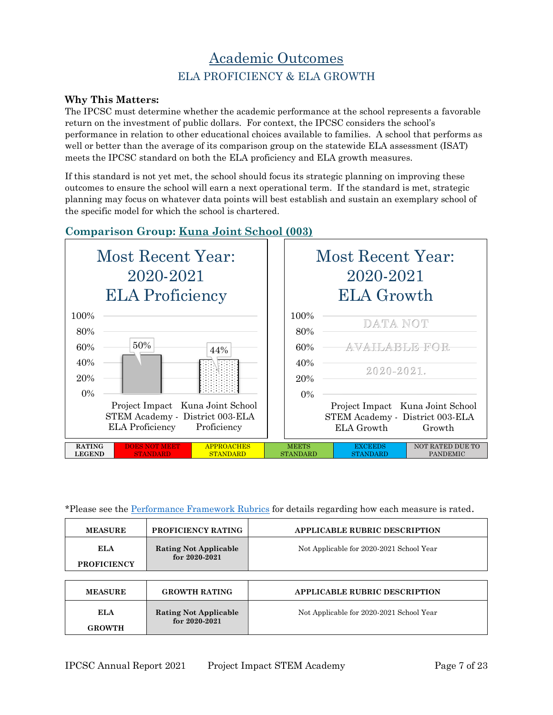### Academic Outcomes ELA PROFICIENCY & ELA GROWTH

#### **Why This Matters:**

The IPCSC must determine whether the academic performance at the school represents a favorable return on the investment of public dollars. For context, the IPCSC considers the school's performance in relation to other educational choices available to families. A school that performs as well or better than the average of its comparison group on the statewide ELA assessment (ISAT) meets the IPCSC standard on both the ELA proficiency and ELA growth measures.

If this standard is not yet met, the school should focus its strategic planning on improving these outcomes to ensure the school will earn a next operational term. If the standard is met, strategic planning may focus on whatever data points will best establish and sustain an exemplary school of the specific model for which the school is chartered.

#### **Comparison Group: Kuna Joint School (003)**



| <b>MEASURE</b>                   | PROFICIENCY RATING                                | <b>APPLICABLE RUBRIC DESCRIPTION</b>     |
|----------------------------------|---------------------------------------------------|------------------------------------------|
| <b>ELA</b><br><b>PROFICIENCY</b> | <b>Rating Not Applicable</b><br>for $2020 - 2021$ | Not Applicable for 2020-2021 School Year |
|                                  |                                                   |                                          |
| <b>MEASURE</b>                   | <b>GROWTH RATING</b>                              | <b>APPLICABLE RUBRIC DESCRIPTION</b>     |
| ELA<br><b>GROWTH</b>             | <b>Rating Not Applicable</b><br>for $2020 - 2021$ | Not Applicable for 2020-2021 School Year |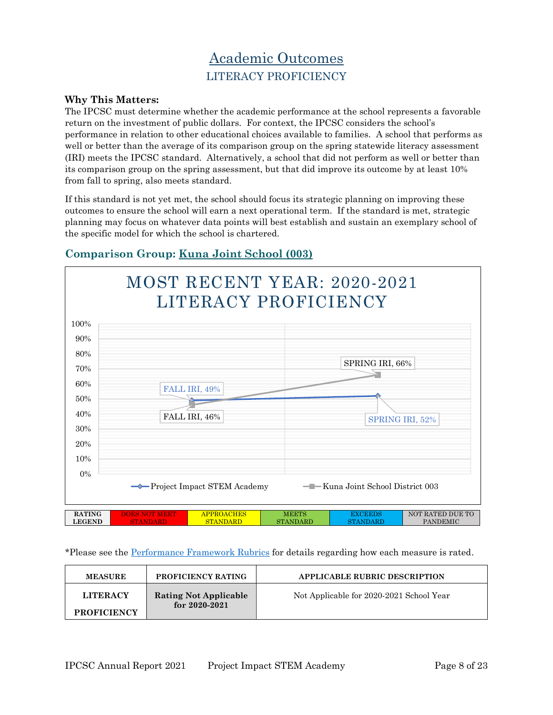## Academic Outcomes LITERACY PROFICIENCY

#### **Why This Matters:**

The IPCSC must determine whether the academic performance at the school represents a favorable return on the investment of public dollars. For context, the IPCSC considers the school's performance in relation to other educational choices available to families. A school that performs as well or better than the average of its comparison group on the spring statewide literacy assessment (IRI) meets the IPCSC standard. Alternatively, a school that did not perform as well or better than its comparison group on the spring assessment, but that did improve its outcome by at least 10% from fall to spring, also meets standard.

If this standard is not yet met, the school should focus its strategic planning on improving these outcomes to ensure the school will earn a next operational term. If the standard is met, strategic planning may focus on whatever data points will best establish and sustain an exemplary school of the specific model for which the school is chartered.



#### **Comparison Group: Kuna Joint School (003)**

| <b>MEASURE</b>                        | <b>PROFICIENCY RATING</b>                         | <b>APPLICABLE RUBRIC DESCRIPTION</b>     |
|---------------------------------------|---------------------------------------------------|------------------------------------------|
| <b>LITERACY</b><br><b>PROFICIENCY</b> | <b>Rating Not Applicable</b><br>for $2020 - 2021$ | Not Applicable for 2020-2021 School Year |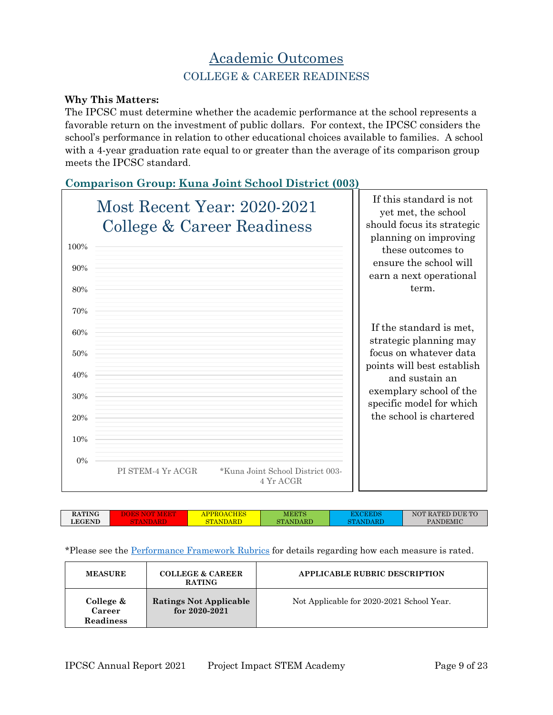### Academic Outcomes COLLEGE & CAREER READINESS

#### **Why This Matters:**

The IPCSC must determine whether the academic performance at the school represents a favorable return on the investment of public dollars. For context, the IPCSC considers the school's performance in relation to other educational choices available to families. A school with a 4-year graduation rate equal to or greater than the average of its comparison group meets the IPCSC standard.

#### **Comparison Group: Kuna Joint School District (003)**



| <b>RATING</b> | $\overline{H}$ $\overline{E}$ $\overline{S}$<br>A (<br>тко. | MEETS           |                | NOT RATED DUE TO |
|---------------|-------------------------------------------------------------|-----------------|----------------|------------------|
| <b>LEGEND</b> | <b>TAN</b>                                                  | <b>STANDARD</b> | $\mathbf{ART}$ | <b>PANDEMIC</b>  |
|               |                                                             |                 |                |                  |

| <b>MEASURE</b>                          | <b>COLLEGE &amp; CAREER</b><br><b>RATING</b>       | <b>APPLICABLE RUBRIC DESCRIPTION</b>      |
|-----------------------------------------|----------------------------------------------------|-------------------------------------------|
| College &<br>Career<br><b>Readiness</b> | <b>Ratings Not Applicable</b><br>for $2020 - 2021$ | Not Applicable for 2020-2021 School Year. |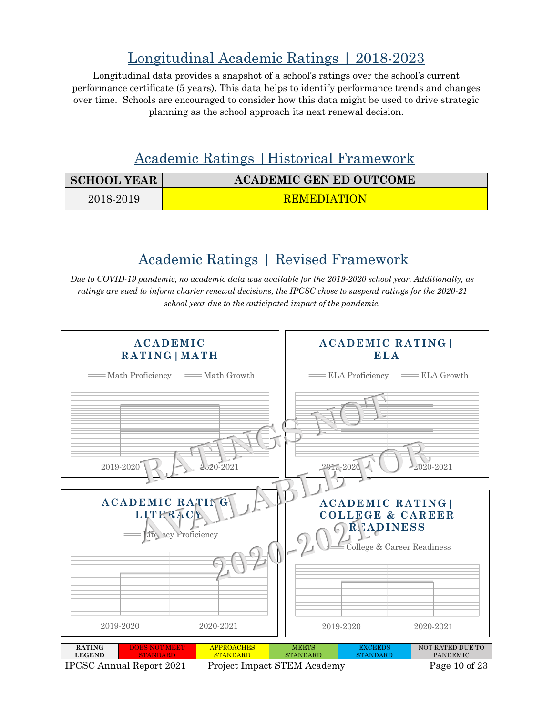# Longitudinal Academic Ratings | 2018-2023

Longitudinal data provides a snapshot of a school's ratings over the school's current performance certificate (5 years). This data helps to identify performance trends and changes over time. Schools are encouraged to consider how this data might be used to drive strategic planning as the school approach its next renewal decision.

### Academic Ratings |Historical Framework

| <b>SCHOOL YEAR</b> | <b>ACADEMIC GEN ED OUTCOME</b> |
|--------------------|--------------------------------|
| 2018-2019          | REMEDIATION                    |

### Academic Ratings | Revised Framework

*Due to COVID-19 pandemic, no academic data was available for the 2019-2020 school year. Additionally, as ratings are sued to inform charter renewal decisions, the IPCSC chose to suspend ratings for the 2020-21 school year due to the anticipated impact of the pandemic.*



IPCSC Annual Report 2021 Project Impact STEM Academy Page 10 of 23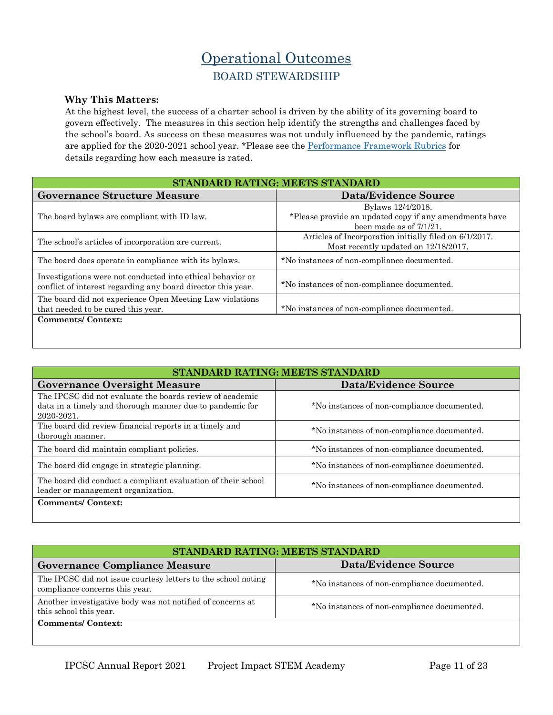### Operational Outcomes BOARD STEWARDSHIP

#### **Why This Matters:**

At the highest level, the success of a charter school is driven by the ability of its governing board to govern effectively. The measures in this section help identify the strengths and challenges faced by the school's board. As success on these measures was not unduly influenced by the pandemic, ratings are applied for the 2020-2021 school year. \*Please see the [Performance Framework Rubrics](https://chartercommission.idaho.gov/resources/performance-framework/) for details regarding how each measure is rated.

| STANDARD RATING: MEETS STANDARD                                                                                            |                                                                                                           |  |
|----------------------------------------------------------------------------------------------------------------------------|-----------------------------------------------------------------------------------------------------------|--|
| <b>Governance Structure Measure</b>                                                                                        | <b>Data/Evidence Source</b>                                                                               |  |
| The board by laws are compliant with ID law.                                                                               | Bylaws 12/4/2018.<br>*Please provide an updated copy if any amendments have<br>been made as of $7/1/21$ . |  |
| The school's articles of incorporation are current.                                                                        | Articles of Incorporation initially filed on 6/1/2017.<br>Most recently updated on 12/18/2017.            |  |
| The board does operate in compliance with its by laws.                                                                     | *No instances of non-compliance documented.                                                               |  |
| Investigations were not conducted into ethical behavior or<br>conflict of interest regarding any board director this year. | *No instances of non-compliance documented.                                                               |  |
| The board did not experience Open Meeting Law violations<br>that needed to be cured this year.                             | *No instances of non-compliance documented.                                                               |  |
| <b>Comments/Context:</b>                                                                                                   |                                                                                                           |  |

| STANDARD RATING: MEETS STANDARD                                                                                                    |                                             |  |
|------------------------------------------------------------------------------------------------------------------------------------|---------------------------------------------|--|
| <b>Governance Oversight Measure</b>                                                                                                | <b>Data/Evidence Source</b>                 |  |
| The IPCSC did not evaluate the boards review of academic<br>data in a timely and thorough manner due to pandemic for<br>2020-2021. | *No instances of non-compliance documented. |  |
| The board did review financial reports in a timely and<br>thorough manner.                                                         | *No instances of non-compliance documented. |  |
| The board did maintain compliant policies.                                                                                         | *No instances of non-compliance documented. |  |
| The board did engage in strategic planning.                                                                                        | *No instances of non-compliance documented. |  |
| The board did conduct a compliant evaluation of their school<br>leader or management organization.                                 | *No instances of non-compliance documented. |  |
| <b>Comments/Context:</b>                                                                                                           |                                             |  |

| STANDARD RATING: MEETS STANDARD                                                                 |                                             |  |
|-------------------------------------------------------------------------------------------------|---------------------------------------------|--|
| <b>Governance Compliance Measure</b>                                                            | Data/Evidence Source                        |  |
| The IPCSC did not issue courtesy letters to the school noting<br>compliance concerns this year. | *No instances of non-compliance documented. |  |
| Another investigative body was not notified of concerns at<br>this school this year.            | *No instances of non-compliance documented. |  |
| <b>Comments/Context:</b>                                                                        |                                             |  |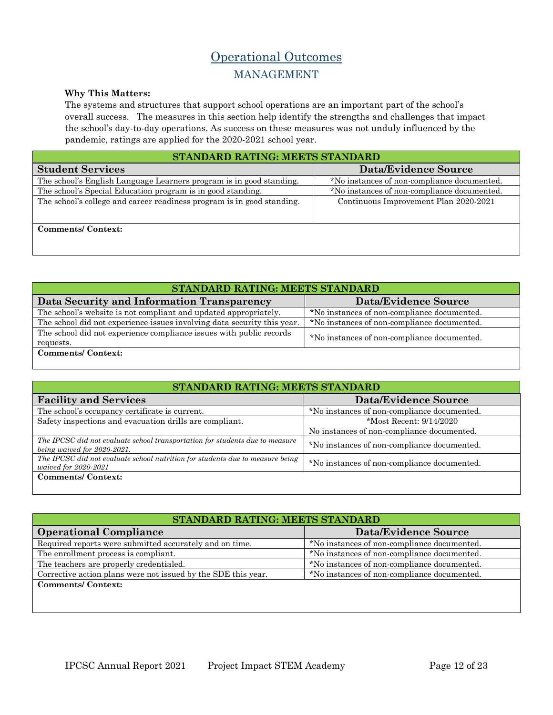### Operational Outcomes MANAGEMENT

#### **Why This Matters:**

The systems and structures that support school operations are an important part of the school's overall success. The measures in this section help identify the strengths and challenges that impact the school's day-to-day operations. As success on these measures was not unduly influenced by the pandemic, ratings are applied for the 2020-2021 school year.

| STANDARD RATING: MEETS STANDARD                                        |                                             |  |
|------------------------------------------------------------------------|---------------------------------------------|--|
| <b>Student Services</b>                                                | Data/Evidence Source                        |  |
| The school's English Language Learners program is in good standing.    | *No instances of non-compliance documented. |  |
| The school's Special Education program is in good standing.            | *No instances of non-compliance documented. |  |
| The school's college and career readiness program is in good standing. | Continuous Improvement Plan 2020-2021       |  |
| <b>Comments/Context:</b>                                               |                                             |  |

| STANDARD RATING: MEETS STANDARD                                                  |                                             |  |  |
|----------------------------------------------------------------------------------|---------------------------------------------|--|--|
| Data Security and Information Transparency                                       | <b>Data/Evidence Source</b>                 |  |  |
| The school's website is not compliant and updated appropriately.                 | *No instances of non-compliance documented. |  |  |
| The school did not experience issues involving data security this year.          | *No instances of non-compliance documented. |  |  |
| The school did not experience compliance issues with public records<br>requests. | *No instances of non-compliance documented. |  |  |
| <b>Comments/Context:</b>                                                         |                                             |  |  |

| STANDARD RATING: MEETS STANDARD                                                                             |                                             |  |  |
|-------------------------------------------------------------------------------------------------------------|---------------------------------------------|--|--|
| <b>Facility and Services</b>                                                                                | Data/Evidence Source                        |  |  |
| The school's occupancy certificate is current.                                                              | *No instances of non-compliance documented. |  |  |
| Safety inspections and evacuation drills are compliant.                                                     | *Most Recent: 9/14/2020                     |  |  |
|                                                                                                             | No instances of non-compliance documented.  |  |  |
| The IPCSC did not evaluate school transportation for students due to measure<br>being waived for 2020-2021. | *No instances of non-compliance documented. |  |  |
| The IPCSC did not evaluate school nutrition for students due to measure being<br>waived for 2020-2021       | *No instances of non-compliance documented. |  |  |
| <b>Comments/Context:</b>                                                                                    |                                             |  |  |

| STANDARD RATING: MEETS STANDARD                               |                                             |  |  |
|---------------------------------------------------------------|---------------------------------------------|--|--|
| <b>Operational Compliance</b>                                 | <b>Data/Evidence Source</b>                 |  |  |
| Required reports were submitted accurately and on time.       | *No instances of non-compliance documented. |  |  |
| The enrollment process is compliant.                          | *No instances of non-compliance documented. |  |  |
| The teachers are properly credentialed.                       | *No instances of non-compliance documented. |  |  |
| Corrective action plans were not issued by the SDE this year. | *No instances of non-compliance documented. |  |  |
| <b>Comments/Context:</b>                                      |                                             |  |  |
|                                                               |                                             |  |  |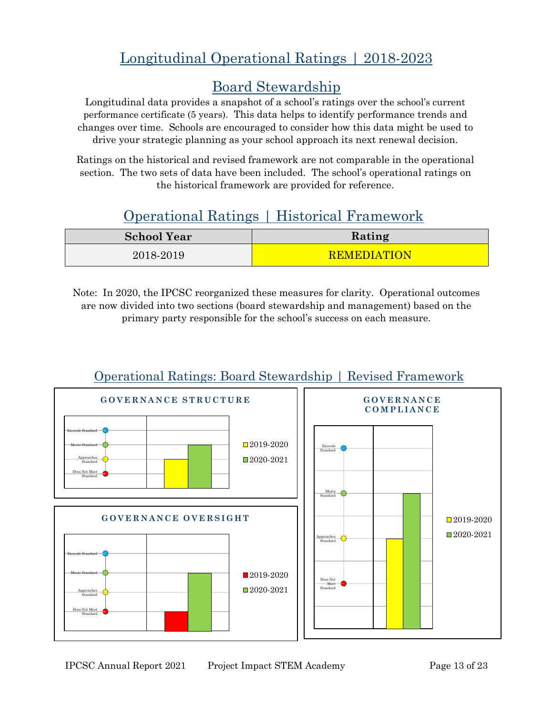# Longitudinal Operational Ratings | 2018-2023

### Board Stewardship

Longitudinal data provides a snapshot of a school's ratings over the school's current performance certificate (5 years). This data helps to identify performance trends and changes over time. Schools are encouraged to consider how this data might be used to drive your strategic planning as your school approach its next renewal decision.

Ratings on the historical and revised framework are not comparable in the operational section. The two sets of data have been included. The school's operational ratings on the historical framework are provided for reference.

# Operational Ratings | Historical Framework

| <b>School Year</b> | Rating             |
|--------------------|--------------------|
| 2018-2019          | <b>REMEDIATION</b> |

Note: In 2020, the IPCSC reorganized these measures for clarity. Operational outcomes are now divided into two sections (board stewardship and management) based on the primary party responsible for the school's success on each measure.



### Operational Ratings: Board Stewardship | Revised Framework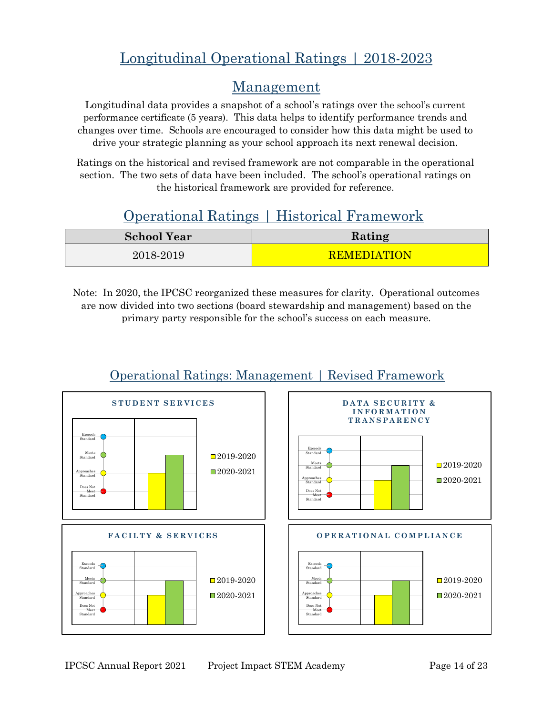# Longitudinal Operational Ratings | 2018-2023

### Management

Longitudinal data provides a snapshot of a school's ratings over the school's current performance certificate (5 years). This data helps to identify performance trends and changes over time. Schools are encouraged to consider how this data might be used to drive your strategic planning as your school approach its next renewal decision.

Ratings on the historical and revised framework are not comparable in the operational section. The two sets of data have been included. The school's operational ratings on the historical framework are provided for reference.

## Operational Ratings | Historical Framework

| <b>School Year</b> | Rating             |
|--------------------|--------------------|
| 2018-2019          | <b>REMEDIATION</b> |

Note: In 2020, the IPCSC reorganized these measures for clarity. Operational outcomes are now divided into two sections (board stewardship and management) based on the primary party responsible for the school's success on each measure.



### Operational Ratings: Management | Revised Framework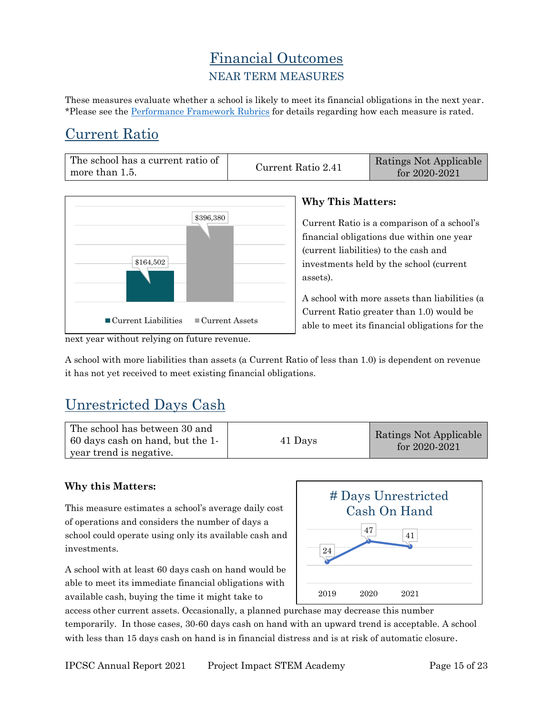### Financial Outcomes NEAR TERM MEASURES

These measures evaluate whether a school is likely to meet its financial obligations in the next year. \*Please see the [Performance Framework Rubrics](https://chartercommission.idaho.gov/resources/performance-framework/) for details regarding how each measure is rated.

## Current Ratio

| The school has a current ratio of | Current Ratio 2.41 | Ratings Not Applicable |
|-----------------------------------|--------------------|------------------------|
| more than 1.5.                    |                    | for $2020 - 2021$      |



#### **Why This Matters:**

Current Ratio is a comparison of a school's financial obligations due within one year (current liabilities) to the cash and investments held by the school (current assets).

A school with more assets than liabilities (a Current Ratio greater than 1.0) would be able to meet its financial obligations for the

A school with more liabilities than assets (a Current Ratio of less than 1.0) is dependent on revenue it has not yet received to meet existing financial obligations.

# Unrestricted Days Cash

| The school has between 30 and<br>60 days cash on hand, but the 1-<br>year trend is negative. | 41 Days | Ratings Not Applicable<br>for $2020 - 2021$ |
|----------------------------------------------------------------------------------------------|---------|---------------------------------------------|
|----------------------------------------------------------------------------------------------|---------|---------------------------------------------|

#### **Why this Matters:**

This measure estimates a school's average daily cost of operations and considers the number of days a school could operate using only its available cash and investments.

A school with at least 60 days cash on hand would be able to meet its immediate financial obligations with available cash, buying the time it might take to



access other current assets. Occasionally, a planned purchase may decrease this number temporarily. In those cases, 30-60 days cash on hand with an upward trend is acceptable. A school with less than 15 days cash on hand is in financial distress and is at risk of automatic closure.

next year without relying on future revenue.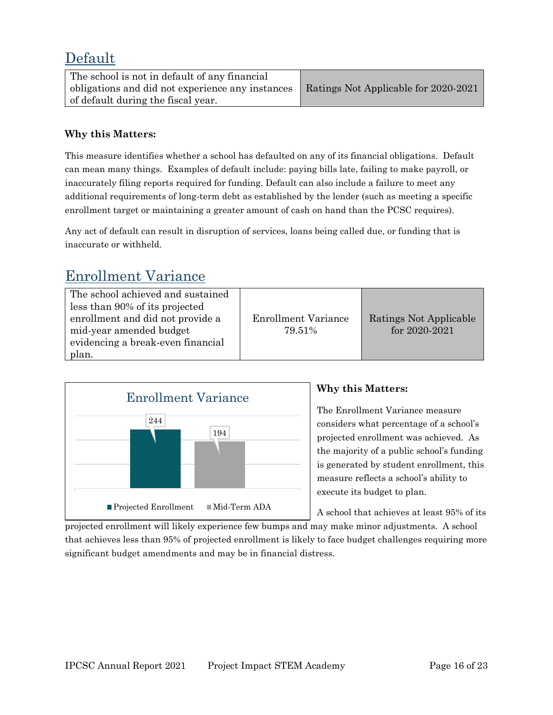### Default

| The school is not in default of any financial    |                                      |
|--------------------------------------------------|--------------------------------------|
| obligations and did not experience any instances | Ratings Not Applicable for 2020-2021 |
| of default during the fiscal year.               |                                      |

#### **Why this Matters:**

This measure identifies whether a school has defaulted on any of its financial obligations. Default can mean many things. Examples of default include: paying bills late, failing to make payroll, or inaccurately filing reports required for funding. Default can also include a failure to meet any additional requirements of long-term debt as established by the lender (such as meeting a specific enrollment target or maintaining a greater amount of cash on hand than the PCSC requires).

Any act of default can result in disruption of services, loans being called due, or funding that is inaccurate or withheld.

### Enrollment Variance

| The school achieved and sustained<br>less than 90% of its projected<br>enrollment and did not provide a | <b>Enrollment Variance</b> | Ratings Not Applicable |
|---------------------------------------------------------------------------------------------------------|----------------------------|------------------------|
| mid-year amended budget<br>evidencing a break-even financial                                            | 79.51%                     | for 2020-2021          |
| plan.                                                                                                   |                            |                        |



#### **Why this Matters:**

The Enrollment Variance measure considers what percentage of a school's projected enrollment was achieved. As the majority of a public school's funding is generated by student enrollment, this measure reflects a school's ability to execute its budget to plan.

A school that achieves at least 95% of its

projected enrollment will likely experience few bumps and may make minor adjustments. A school that achieves less than 95% of projected enrollment is likely to face budget challenges requiring more significant budget amendments and may be in financial distress.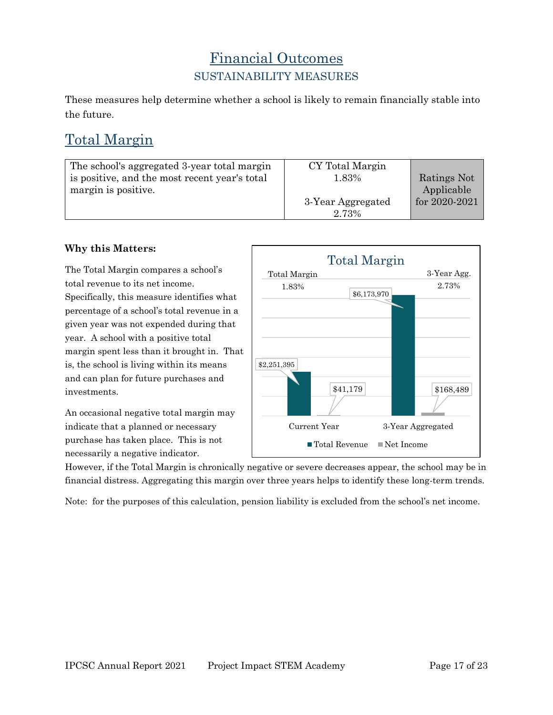### Financial Outcomes SUSTAINABILITY MEASURES

These measures help determine whether a school is likely to remain financially stable into the future.

## Total Margin

| The school's aggregated 3-year total margin<br>is positive, and the most recent year's total<br>margin is positive. | CY Total Margin<br>1.83%   | Ratings Not<br>Applicable |
|---------------------------------------------------------------------------------------------------------------------|----------------------------|---------------------------|
|                                                                                                                     | 3-Year Aggregated<br>2.73% | for 2020-2021             |

#### **Why this Matters:**

The Total Margin compares a school's total revenue to its net income. Specifically, this measure identifies what percentage of a school's total revenue in a given year was not expended during that year. A school with a positive total margin spent less than it brought in. That is, the school is living within its means and can plan for future purchases and investments.

An occasional negative total margin may indicate that a planned or necessary purchase has taken place. This is not necessarily a negative indicator.



However, if the Total Margin is chronically negative or severe decreases appear, the school may be in financial distress. Aggregating this margin over three years helps to identify these long-term trends.

Note: for the purposes of this calculation, pension liability is excluded from the school's net income.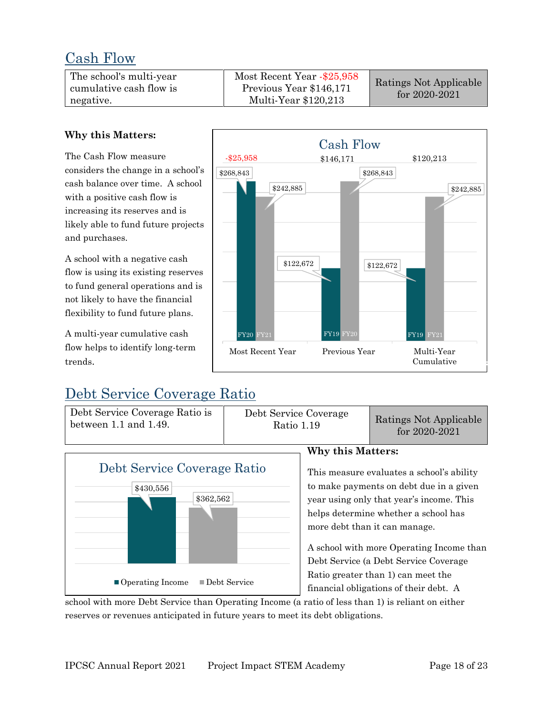### Cash Flow

| The school's multi-year<br>cumulative cash flow is<br>negative. | Most Recent Year -\$25,958<br>Previous Year \$146,171<br>Multi-Year \$120,213 | Ratings Not Applicable<br>for $2020 - 2021$ |
|-----------------------------------------------------------------|-------------------------------------------------------------------------------|---------------------------------------------|
|-----------------------------------------------------------------|-------------------------------------------------------------------------------|---------------------------------------------|

\$242,885

\$268,843

-\$25,958

#### **Why this Matters:**

The Cash Flow measure considers the change in a school's cash balance over time. A school with a positive cash flow is increasing its reserves and is likely able to fund future projects and purchases.

A school with a negative cash flow is using its existing reserves to fund general operations and is not likely to have the financial flexibility to fund future plans.

A multi-year cumulative cash flow helps to identify long-term trends.

## Debt Service Coverage Ratio

Debt Service Coverage Ratio is between 1.1 and 1.49.



Ratio 1.19 Ratings Not Applicable for 2020-2021

Cumulative

FY18

FY21

\$242,885



#### **Why this Matters:**

\$122,672

Cash Flow

Most Recent Year Previous Year Multi-Year

FY20 FY21 FY19 FY20 FY19

\$268,843

\$146,171 \$120,213

This measure evaluates a school's ability to make payments on debt due in a given year using only that year's income. This helps determine whether a school has more debt than it can manage.

A school with more Operating Income than Debt Service (a Debt Service Coverage Ratio greater than 1) can meet the financial obligations of their debt. A

school with more Debt Service than Operating Income (a ratio of less than 1) is reliant on either reserves or revenues anticipated in future years to meet its debt obligations.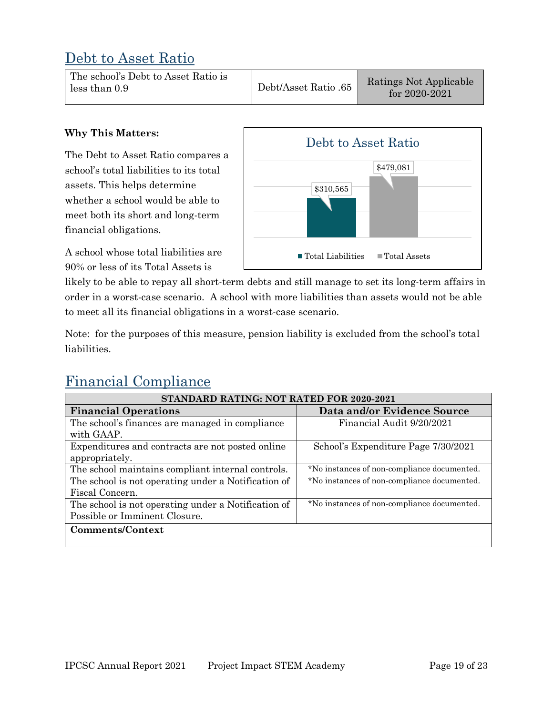### Debt to Asset Ratio

| The school's Debt to Asset Ratio is<br>less than 0.9 | Debt/Asset Ratio .65 | Ratings Not Applicable<br>for $2020 - 2021$ |
|------------------------------------------------------|----------------------|---------------------------------------------|
|------------------------------------------------------|----------------------|---------------------------------------------|

#### **Why This Matters:**

The Debt to Asset Ratio compares a school's total liabilities to its total assets. This helps determine whether a school would be able to meet both its short and long-term financial obligations.

A school whose total liabilities are 90% or less of its Total Assets is



likely to be able to repay all short-term debts and still manage to set its long-term affairs in order in a worst-case scenario. A school with more liabilities than assets would not be able to meet all its financial obligations in a worst-case scenario.

Note: for the purposes of this measure, pension liability is excluded from the school's total liabilities.

# Financial Compliance

| STANDARD RATING: NOT RATED FOR 2020-2021            |                                             |  |
|-----------------------------------------------------|---------------------------------------------|--|
| <b>Financial Operations</b>                         | Data and/or Evidence Source                 |  |
| The school's finances are managed in compliance     | Financial Audit 9/20/2021                   |  |
| with GAAP.                                          |                                             |  |
| Expenditures and contracts are not posted online    | School's Expenditure Page 7/30/2021         |  |
| appropriately.                                      |                                             |  |
| The school maintains compliant internal controls.   | *No instances of non-compliance documented. |  |
| The school is not operating under a Notification of | *No instances of non-compliance documented. |  |
| Fiscal Concern.                                     |                                             |  |
| The school is not operating under a Notification of | *No instances of non-compliance documented. |  |
| Possible or Imminent Closure.                       |                                             |  |
| Comments/Context                                    |                                             |  |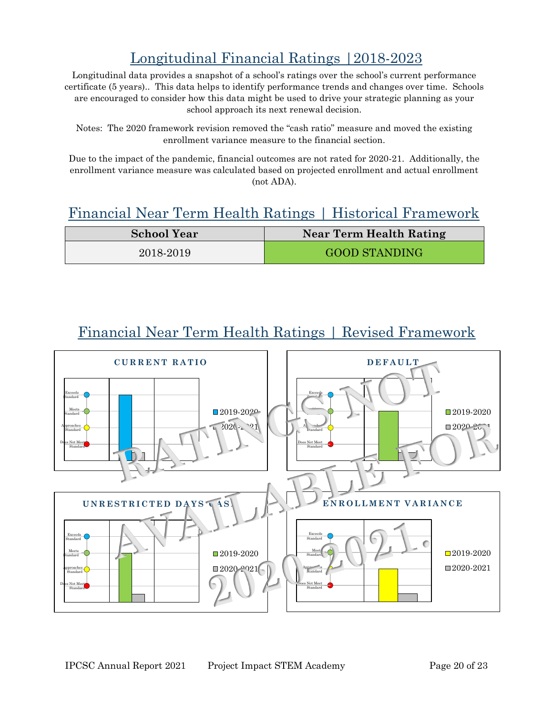# Longitudinal Financial Ratings |2018-2023

Longitudinal data provides a snapshot of a school's ratings over the school's current performance certificate (5 years).. This data helps to identify performance trends and changes over time. Schools are encouraged to consider how this data might be used to drive your strategic planning as your school approach its next renewal decision.

Notes: The 2020 framework revision removed the "cash ratio" measure and moved the existing enrollment variance measure to the financial section.

Due to the impact of the pandemic, financial outcomes are not rated for 2020-21. Additionally, the enrollment variance measure was calculated based on projected enrollment and actual enrollment (not ADA).

### Financial Near Term Health Ratings | Historical Framework

| <b>School Year</b> | Near Term Health Rating |
|--------------------|-------------------------|
| 2018-2019          | <b>GOOD STANDING</b>    |

### Financial Near Term Health Ratings | Revised Framework

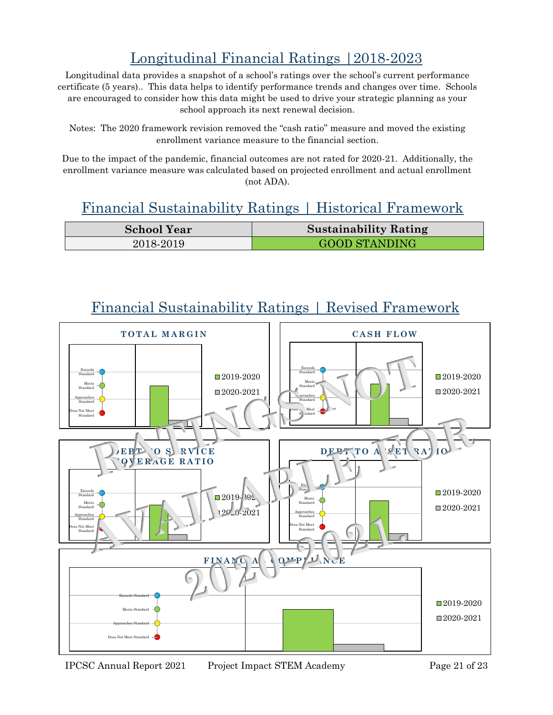# Longitudinal Financial Ratings |2018-2023

Longitudinal data provides a snapshot of a school's ratings over the school's current performance certificate (5 years).. This data helps to identify performance trends and changes over time. Schools are encouraged to consider how this data might be used to drive your strategic planning as your school approach its next renewal decision.

Notes: The 2020 framework revision removed the "cash ratio" measure and moved the existing enrollment variance measure to the financial section.

Due to the impact of the pandemic, financial outcomes are not rated for 2020-21. Additionally, the enrollment variance measure was calculated based on projected enrollment and actual enrollment (not ADA).

### Financial Sustainability Ratings | Historical Framework

| <b>School Year</b> | <b>Sustainability Rating</b> |
|--------------------|------------------------------|
| 2018-2019          | <b>GOOD STANDING</b>         |



Financial Sustainability Ratings | Revised Framework

IPCSC Annual Report 2021 Project Impact STEM Academy Page 21 of 23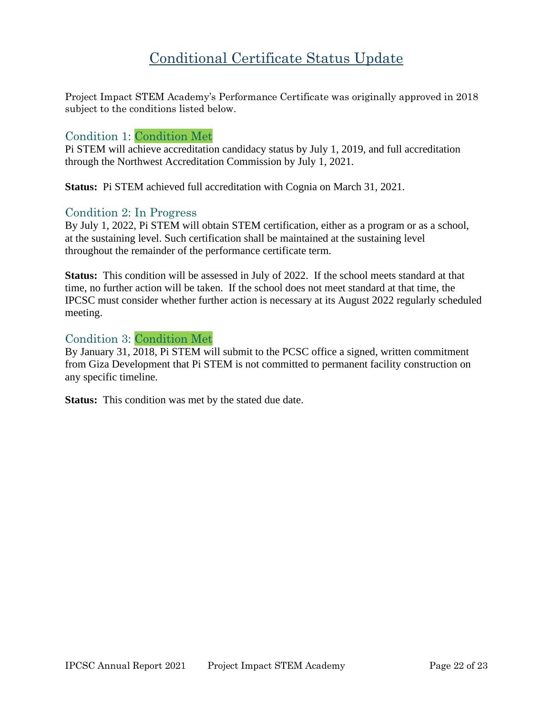### Conditional Certificate Status Update

Project Impact STEM Academy's Performance Certificate was originally approved in 2018 subject to the conditions listed below.

#### Condition 1: Condition Met

Pi STEM will achieve accreditation candidacy status by July 1, 2019, and full accreditation through the Northwest Accreditation Commission by July 1, 2021.

**Status:** Pi STEM achieved full accreditation with Cognia on March 31, 2021.

#### Condition 2: In Progress

By July 1, 2022, Pi STEM will obtain STEM certification, either as a program or as a school, at the sustaining level. Such certification shall be maintained at the sustaining level throughout the remainder of the performance certificate term.

**Status:** This condition will be assessed in July of 2022. If the school meets standard at that time, no further action will be taken. If the school does not meet standard at that time, the IPCSC must consider whether further action is necessary at its August 2022 regularly scheduled meeting.

#### Condition 3: Condition Met

By January 31, 2018, Pi STEM will submit to the PCSC office a signed, written commitment from Giza Development that Pi STEM is not committed to permanent facility construction on any specific timeline.

**Status:** This condition was met by the stated due date.